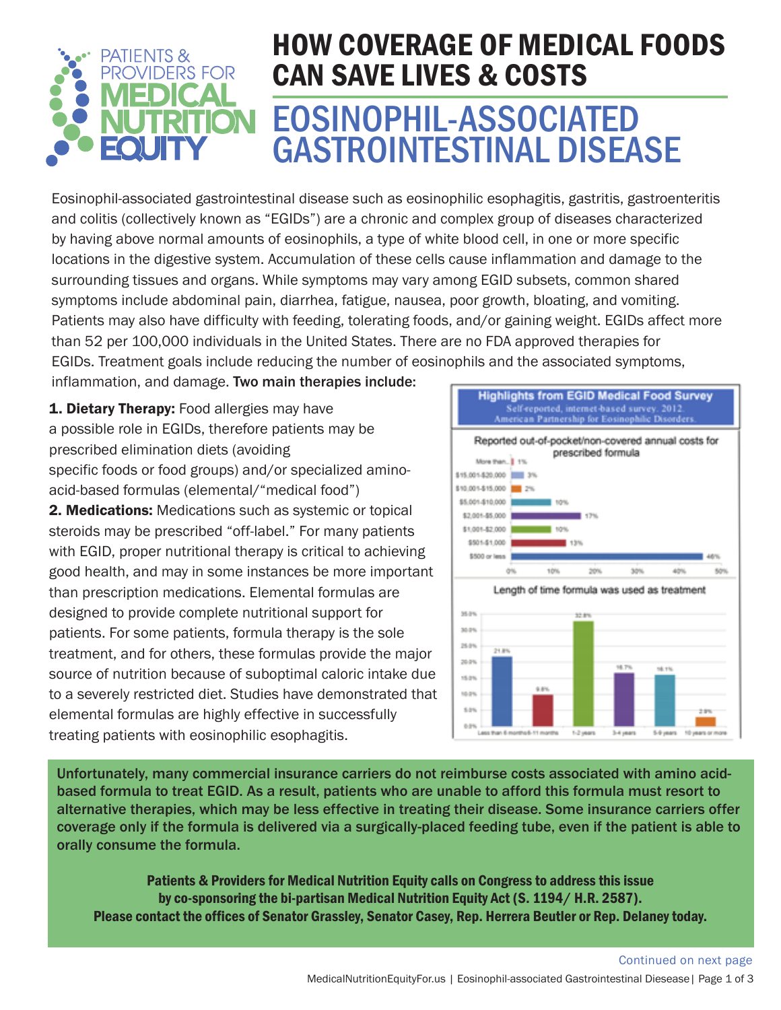

# EOSINOPHIL-ASSOCIATED GASTROINTESTINAL DISEASE HOW COVERAGE OF MEDICAL FOODS CAN SAVE LIVES & COSTS

Eosinophil-associated gastrointestinal disease such as eosinophilic esophagitis, gastritis, gastroenteritis and colitis (collectively known as "EGIDs") are a chronic and complex group of diseases characterized by having above normal amounts of eosinophils, a type of white blood cell, in one or more specific locations in the digestive system. Accumulation of these cells cause inflammation and damage to the surrounding tissues and organs. While symptoms may vary among EGID subsets, common shared symptoms include abdominal pain, diarrhea, fatigue, nausea, poor growth, bloating, and vomiting. Patients may also have difficulty with feeding, tolerating foods, and/or gaining weight. EGIDs affect more than 52 per 100,000 individuals in the United States. There are no FDA approved therapies for EGIDs. Treatment goals include reducing the number of eosinophils and the associated symptoms,

inflammation, and damage. Two main therapies include:

1. Dietary Therapy: Food allergies may have a possible role in EGIDs, therefore patients may be prescribed elimination diets (avoiding specific foods or food groups) and/or specialized aminoacid-based formulas (elemental/"medical food") 2. Medications: Medications such as systemic or topical steroids may be prescribed "off-label." For many patients with EGID, proper nutritional therapy is critical to achieving good health, and may in some instances be more important than prescription medications. Elemental formulas are designed to provide complete nutritional support for patients. For some patients, formula therapy is the sole treatment, and for others, these formulas provide the major source of nutrition because of suboptimal caloric intake due to a severely restricted diet. Studies have demonstrated that elemental formulas are highly effective in successfully treating patients with eosinophilic esophagitis.



1-2 years

 $54\mu$ 

Unfortunately, many commercial insurance carriers do not reimburse costs associated with amino acidbased formula to treat EGID. As a result, patients who are unable to afford this formula must resort to alternative therapies, which may be less effective in treating their disease. Some insurance carriers offer coverage only if the formula is delivered via a surgically-placed feeding tube, even if the patient is able to orally consume the formula.

5.0%

Patients & Providers for Medical Nutrition Equity calls on Congress to address this issue by co-sponsoring the bi-partisan Medical Nutrition Equity Act (S. 1194/ H.R. 2587). Please contact the offices of Senator Grassley, Senator Casey, Rep. Herrera Beutler or Rep. Delaney today.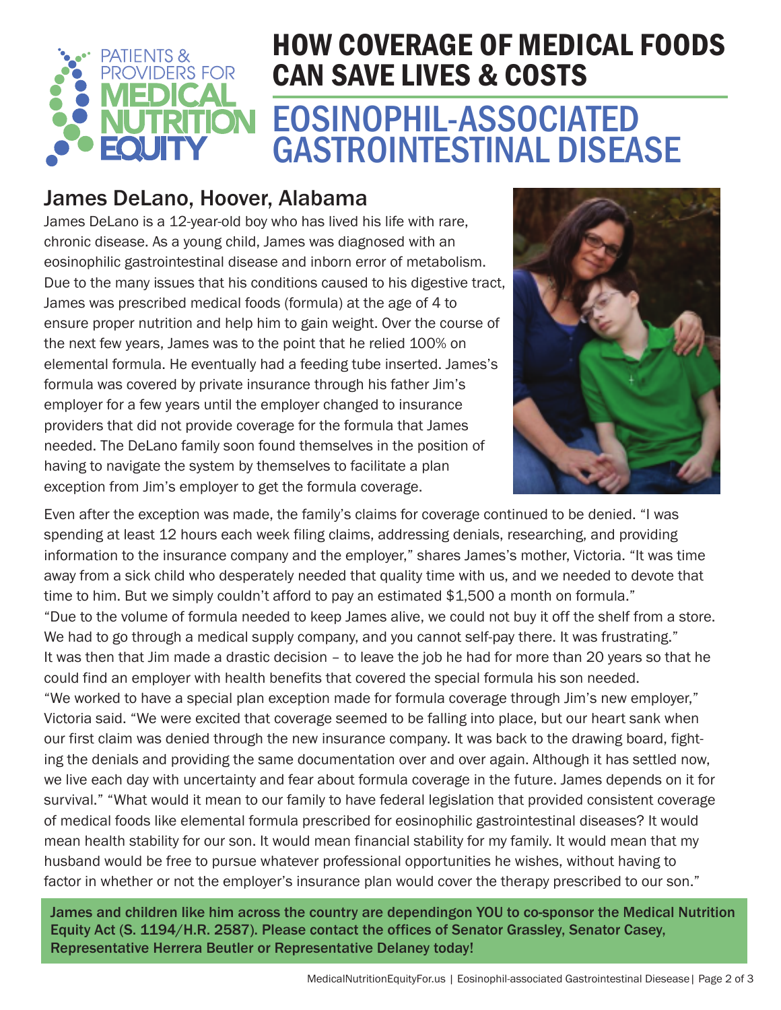

# EOSINOPHIL-ASSOCIATED GASTROINTESTINAL DISEASE HOW COVERAGE OF MEDICAL FOODS CAN SAVE LIVES & COSTS

### James DeLano, Hoover, Alabama

James DeLano is a 12-year-old boy who has lived his life with rare, chronic disease. As a young child, James was diagnosed with an eosinophilic gastrointestinal disease and inborn error of metabolism. Due to the many issues that his conditions caused to his digestive tract, James was prescribed medical foods (formula) at the age of 4 to ensure proper nutrition and help him to gain weight. Over the course of the next few years, James was to the point that he relied 100% on elemental formula. He eventually had a feeding tube inserted. James's formula was covered by private insurance through his father Jim's employer for a few years until the employer changed to insurance providers that did not provide coverage for the formula that James needed. The DeLano family soon found themselves in the position of having to navigate the system by themselves to facilitate a plan exception from Jim's employer to get the formula coverage.



Even after the exception was made, the family's claims for coverage continued to be denied. "I was spending at least 12 hours each week filing claims, addressing denials, researching, and providing information to the insurance company and the employer," shares James's mother, Victoria. "It was time away from a sick child who desperately needed that quality time with us, and we needed to devote that time to him. But we simply couldn't afford to pay an estimated \$1,500 a month on formula." "Due to the volume of formula needed to keep James alive, we could not buy it off the shelf from a store. We had to go through a medical supply company, and you cannot self-pay there. It was frustrating." It was then that Jim made a drastic decision – to leave the job he had for more than 20 years so that he could find an employer with health benefits that covered the special formula his son needed. "We worked to have a special plan exception made for formula coverage through Jim's new employer," Victoria said. "We were excited that coverage seemed to be falling into place, but our heart sank when our first claim was denied through the new insurance company. It was back to the drawing board, fighting the denials and providing the same documentation over and over again. Although it has settled now, we live each day with uncertainty and fear about formula coverage in the future. James depends on it for survival." "What would it mean to our family to have federal legislation that provided consistent coverage of medical foods like elemental formula prescribed for eosinophilic gastrointestinal diseases? It would mean health stability for our son. It would mean financial stability for my family. It would mean that my husband would be free to pursue whatever professional opportunities he wishes, without having to factor in whether or not the employer's insurance plan would cover the therapy prescribed to our son."

James and children like him across the country are dependingon YOU to co-sponsor the Medical Nutrition Equity Act (S. 1194/H.R. 2587). Please contact the offices of Senator Grassley, Senator Casey, Representative Herrera Beutler or Representative Delaney today!